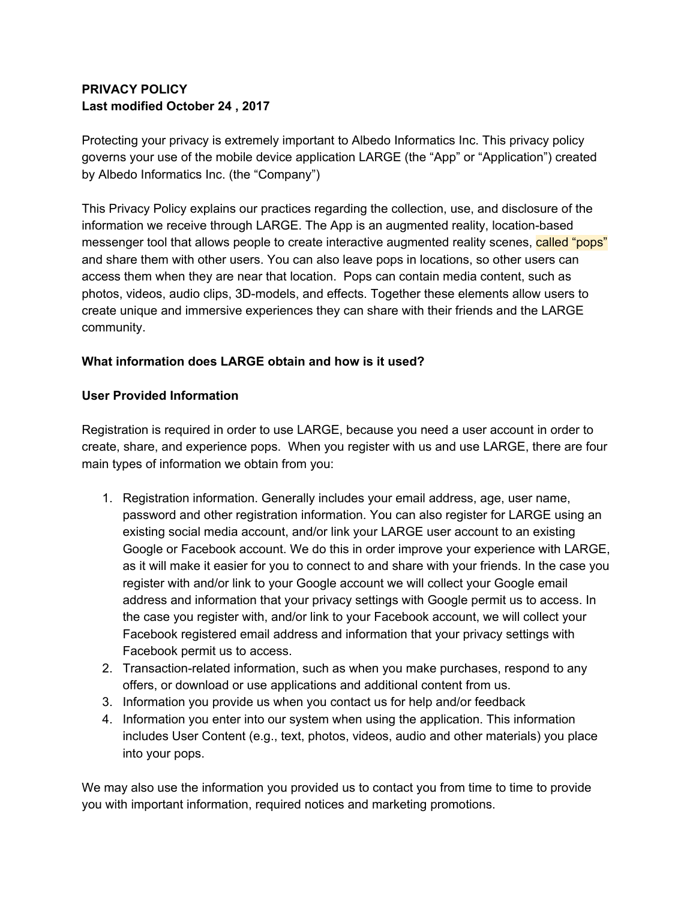## **PRIVACY POLICY Last modified October 24 , 2017**

Protecting your privacy is extremely important to Albedo Informatics Inc. This privacy policy governs your use of the mobile device application LARGE (the "App" or "Application") created by Albedo Informatics Inc. (the "Company")

This Privacy Policy explains our practices regarding the collection, use, and disclosure of the information we receive through LARGE. The App is an augmented reality, location-based messenger tool that allows people to create interactive augmented reality scenes, called "pops" and share them with other users. You can also leave pops in locations, so other users can access them when they are near that location. Pops can contain media content, such as photos, videos, audio clips, 3D-models, and effects. Together these elements allow users to create unique and immersive experiences they can share with their friends and the LARGE community.

#### **What information does LARGE obtain and how is it used?**

#### **User Provided Information**

Registration is required in order to use LARGE, because you need a user account in order to create, share, and experience pops. When you register with us and use LARGE, there are four main types of information we obtain from you:

- 1. Registration information. Generally includes your email address, age, user name, password and other registration information. You can also register for LARGE using an existing social media account, and/or link your LARGE user account to an existing Google or Facebook account. We do this in order improve your experience with LARGE, as it will make it easier for you to connect to and share with your friends. In the case you register with and/or link to your Google account we will collect your Google email address and information that your privacy settings with Google permit us to access. In the case you register with, and/or link to your Facebook account, we will collect your Facebook registered email address and information that your privacy settings with Facebook permit us to access.
- 2. Transaction-related information, such as when you make purchases, respond to any offers, or download or use applications and additional content from us.
- 3. Information you provide us when you contact us for help and/or feedback
- 4. Information you enter into our system when using the application. This information includes User Content (e.g., text, photos, videos, audio and other materials) you place into your pops.

We may also use the information you provided us to contact you from time to time to provide you with important information, required notices and marketing promotions.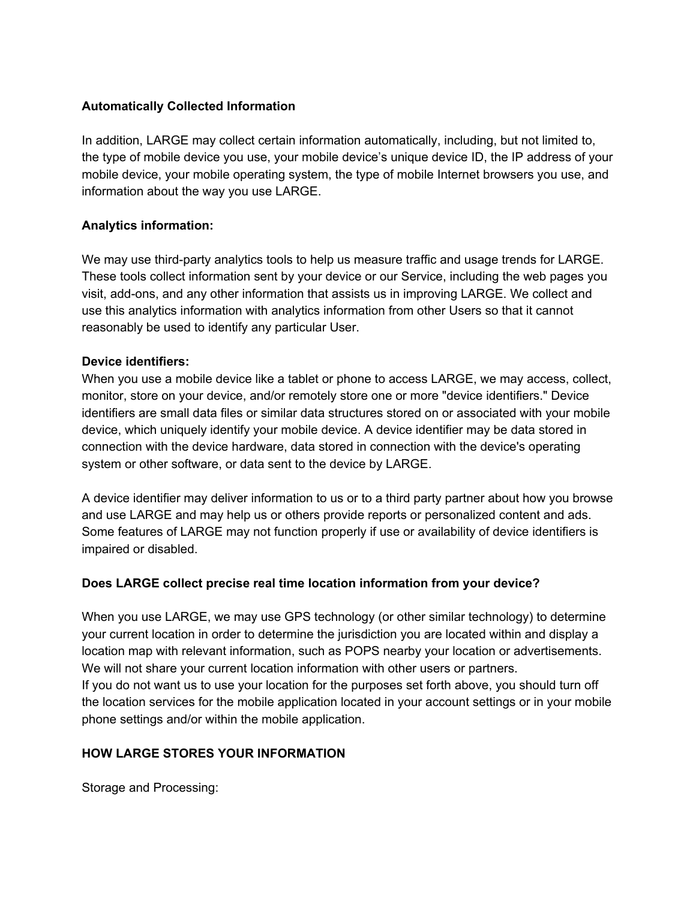#### **Automatically Collected Information**

In addition, LARGE may collect certain information automatically, including, but not limited to, the type of mobile device you use, your mobile device's unique device ID, the IP address of your mobile device, your mobile operating system, the type of mobile Internet browsers you use, and information about the way you use LARGE.

#### **Analytics information:**

We may use third-party analytics tools to help us measure traffic and usage trends for LARGE. These tools collect information sent by your device or our Service, including the web pages you visit, add-ons, and any other information that assists us in improving LARGE. We collect and use this analytics information with analytics information from other Users so that it cannot reasonably be used to identify any particular User.

#### **Device identifiers:**

When you use a mobile device like a tablet or phone to access LARGE, we may access, collect, monitor, store on your device, and/or remotely store one or more "device identifiers." Device identifiers are small data files or similar data structures stored on or associated with your mobile device, which uniquely identify your mobile device. A device identifier may be data stored in connection with the device hardware, data stored in connection with the device's operating system or other software, or data sent to the device by LARGE.

A device identifier may deliver information to us or to a third party partner about how you browse and use LARGE and may help us or others provide reports or personalized content and ads. Some features of LARGE may not function properly if use or availability of device identifiers is impaired or disabled.

#### **Does LARGE collect precise real time location information from your device?**

When you use LARGE, we may use GPS technology (or other similar technology) to determine your current location in order to determine the jurisdiction you are located within and display a location map with relevant information, such as POPS nearby your location or advertisements. We will not share your current location information with other users or partners. If you do not want us to use your location for the purposes set forth above, you should turn off the location services for the mobile application located in your account settings or in your mobile phone settings and/or within the mobile application.

# **HOW LARGE STORES YOUR INFORMATION**

Storage and Processing: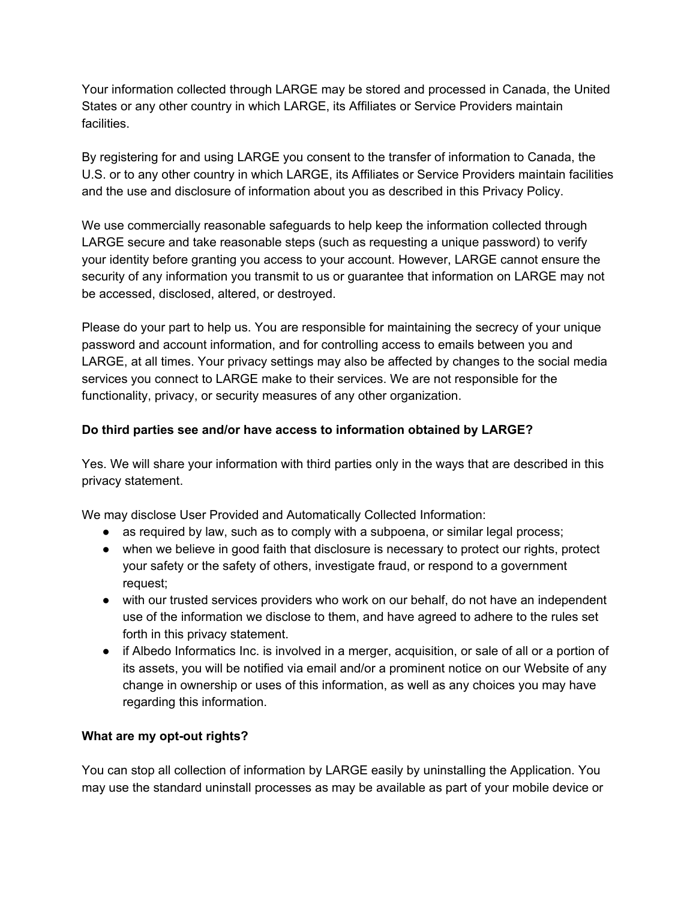Your information collected through LARGE may be stored and processed in Canada, the United States or any other country in which LARGE, its Affiliates or Service Providers maintain facilities.

By registering for and using LARGE you consent to the transfer of information to Canada, the U.S. or to any other country in which LARGE, its Affiliates or Service Providers maintain facilities and the use and disclosure of information about you as described in this Privacy Policy.

We use commercially reasonable safeguards to help keep the information collected through LARGE secure and take reasonable steps (such as requesting a unique password) to verify your identity before granting you access to your account. However, LARGE cannot ensure the security of any information you transmit to us or guarantee that information on LARGE may not be accessed, disclosed, altered, or destroyed.

Please do your part to help us. You are responsible for maintaining the secrecy of your unique password and account information, and for controlling access to emails between you and LARGE, at all times. Your privacy settings may also be affected by changes to the social media services you connect to LARGE make to their services. We are not responsible for the functionality, privacy, or security measures of any other organization.

#### **Do third parties see and/or have access to information obtained by LARGE?**

Yes. We will share your information with third parties only in the ways that are described in this privacy statement.

We may disclose User Provided and Automatically Collected Information:

- as required by law, such as to comply with a subpoena, or similar legal process;
- when we believe in good faith that disclosure is necessary to protect our rights, protect your safety or the safety of others, investigate fraud, or respond to a government request;
- with our trusted services providers who work on our behalf, do not have an independent use of the information we disclose to them, and have agreed to adhere to the rules set forth in this privacy statement.
- if Albedo Informatics Inc. is involved in a merger, acquisition, or sale of all or a portion of its assets, you will be notified via email and/or a prominent notice on our Website of any change in ownership or uses of this information, as well as any choices you may have regarding this information.

#### **What are my opt-out rights?**

You can stop all collection of information by LARGE easily by uninstalling the Application. You may use the standard uninstall processes as may be available as part of your mobile device or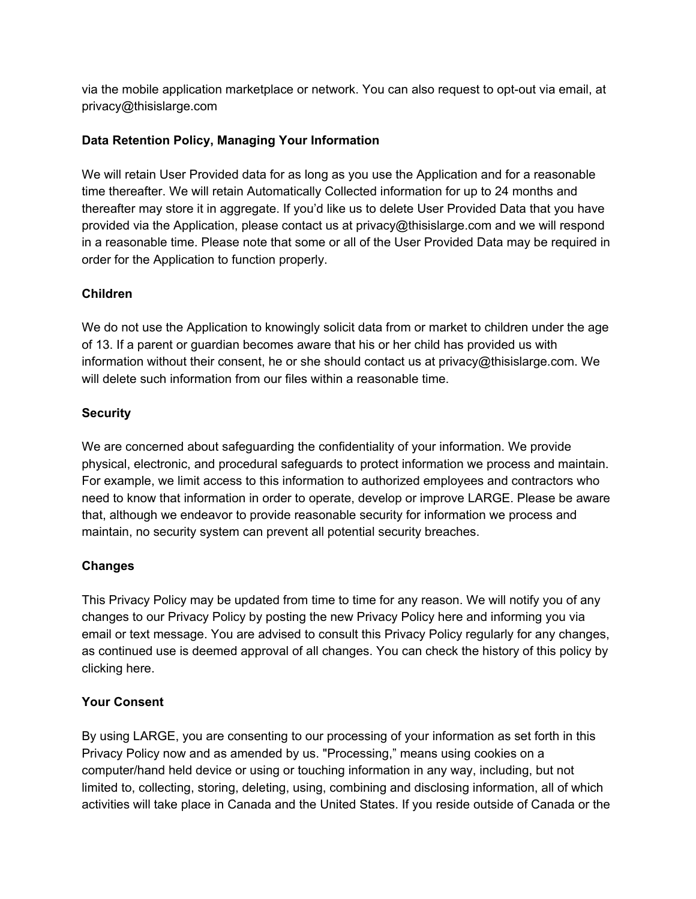via the mobile application marketplace or network. You can also request to opt-out via email, at privacy@thisislarge.com

### **Data Retention Policy, Managing Your Information**

We will retain User Provided data for as long as you use the Application and for a reasonable time thereafter. We will retain Automatically Collected information for up to 24 months and thereafter may store it in aggregate. If you'd like us to delete User Provided Data that you have provided via the Application, please contact us at privacy@thisislarge.com and we will respond in a reasonable time. Please note that some or all of the User Provided Data may be required in order for the Application to function properly.

#### **Children**

We do not use the Application to knowingly solicit data from or market to children under the age of 13. If a parent or guardian becomes aware that his or her child has provided us with information without their consent, he or she should contact us at privacy@thisislarge.com. We will delete such information from our files within a reasonable time.

### **Security**

We are concerned about safeguarding the confidentiality of your information. We provide physical, electronic, and procedural safeguards to protect information we process and maintain. For example, we limit access to this information to authorized employees and contractors who need to know that information in order to operate, develop or improve LARGE. Please be aware that, although we endeavor to provide reasonable security for information we process and maintain, no security system can prevent all potential security breaches.

#### **Changes**

This Privacy Policy may be updated from time to time for any reason. We will notify you of any changes to our Privacy Policy by posting the new Privacy Policy here and informing you via email or text message. You are advised to consult this Privacy Policy regularly for any changes, as continued use is deemed approval of all changes. You can check the history of this policy by clicking here.

#### **Your Consent**

By using LARGE, you are consenting to our processing of your information as set forth in this Privacy Policy now and as amended by us. "Processing," means using cookies on a computer/hand held device or using or touching information in any way, including, but not limited to, collecting, storing, deleting, using, combining and disclosing information, all of which activities will take place in Canada and the United States. If you reside outside of Canada or the